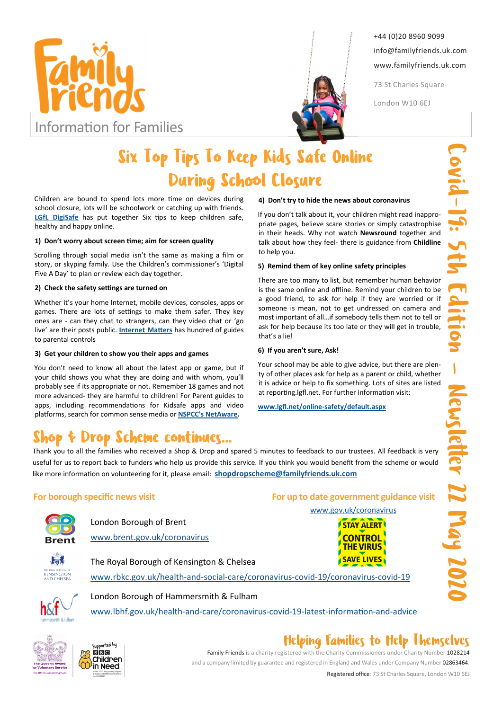



+44 (0)20 8960 9099 info@familyfriends.uk.com www.familyfriends.uk.com

73 St Charles Square

London W10 6EJ

# Six Top Tips To Keep Kids Safe Online During School Closure

Children are bound to spend lots more time on devices during school closure, lots will be schoolwork or catching up with friends. LGfL DigiSafe has put together Six tips to keep children safe, healthy and happy online.

### 1) Don't worry about screen time; aim for screen quality

Scrolling through social media isn't the same as making a film or story, or skyping family. Use the Children's commissioner's 'Digital Five A Day' to plan or review each day together.

### 2) Check the safety settings are turned on

Whether it's your home Internet, mobile devices, consoles, apps or games. There are lots of settings to make them safer. They key ones are - can they chat to strangers, can they video chat or 'go live' are their posts public. **Internet Matters** has hundred of guides to parental controls

### 3) Get your children to show you their apps and games

You don't need to know all about the latest app or game, but if your child shows you what they are doing and with whom, you'll probably see if its appropriate or not. Remember 18 games and not more advanced- they are harmful to children! For Parent guides to apps, including recommendations for Kidsafe apps and video platforms, search for common sense media or NSPCC's NetAware.

# cheme continues...

### 4) Don't try to hide the news about coronavirus

If you don't talk about it, your children might read inappropriate pages, believe scare stories or simply catastrophise in their heads. Why not watch Newsround together and talk about how they feel- there is guidance from Childline to help you.

### 5) Remind them of key online safety principles

There are too many to list, but remember human behavior is the same online and offline. Remind your children to be a good friend, to ask for help if they are worried or if someone is mean, not to get undressed on camera and most important of all…if somebody tells them not to tell or ask for help because its too late or they will get in trouble, that's a lie!

### 6) If you aren't sure, Ask!

Your school may be able to give advice, but there are plenty of other places ask for help as a parent or child, whether it is advice or help to fix something. Lots of sites are listed at reporting.lgfl.net. For further information visit:

For up to date government guidance visit www.gov.uk/coronavirus

www.lgfl.net/online-safety/default.aspx

Thank you to all the families who received a Shop & Drop and spared 5 minutes to feedback to our trustees. All feedback is very useful for us to report back to funders who help us provide this service. If you think you would benefit from the scheme or would like more information on volunteering for it, please email: shopdropscheme@familyfriends.uk.com

### For borough specific news visit



London Borough of Brent www.brent.gov.uk/coronavirus



The Royal Borough of Kensington & Chelsea www.rbkc.gov.uk/health-and-social-care/coronavirus-covid-19/coronavirus-covid-19



London Borough of Hammersmith & Fulham www.lbhf.gov.uk/health-and-care/coronavirus-covid-19-latest-information-and-advice





## Helping Families to Help Themselves

Family Friends is a charity registered with the Charity Commissioners under Charity Number 1028214 and a company limited by guarantee and registered in England and Wales under Company Number 02863464.